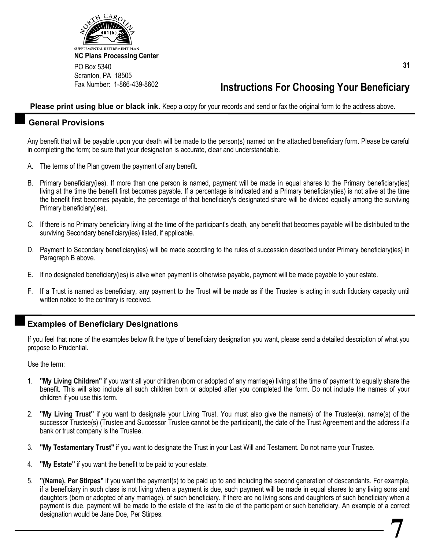

## **Instructions For Choosing Your Beneficiary**

**Please print using blue or black ink.** Keep a copy for your records and send or fax the original form to the address above.

## **General Provisions**

Any benefit that will be payable upon your death will be made to the person(s) named on the attached beneficiary form. Please be careful in completing the form; be sure that your designation is accurate, clear and understandable.

- A. The terms of the Plan govern the payment of any benefit.
- B. Primary beneficiary(ies). If more than one person is named, payment will be made in equal shares to the Primary beneficiary(ies) living at the time the benefit first becomes payable. If a percentage is indicated and a Primary beneficiary(ies) is not alive at the time the benefit first becomes payable, the percentage of that beneficiary's designated share will be divided equally among the surviving Primary beneficiary(ies).
- C. If there is no Primary beneficiary living at the time of the participant's death, any benefit that becomes payable will be distributed to the surviving Secondary beneficiary(ies) listed, if applicable.
- D. Payment to Secondary beneficiary(ies) will be made according to the rules of succession described under Primary beneficiary(ies) in Paragraph B above.
- E. If no designated beneficiary(ies) is alive when payment is otherwise payable, payment will be made payable to your estate.
- F. If a Trust is named as beneficiary, any payment to the Trust will be made as if the Trustee is acting in such fiduciary capacity until written notice to the contrary is received.

## **Examples of Beneficiary Designations**

If you feel that none of the examples below fit the type of beneficiary designation you want, please send a detailed description of what you propose to Prudential.

Use the term:

- 1. **"My Living Children"** if you want all your children (born or adopted of any marriage) living at the time of payment to equally share the benefit. This will also include all such children born or adopted after you completed the form. Do not include the names of your children if you use this term.
- 2. **"My Living Trust"** if you want to designate your Living Trust. You must also give the name(s) of the Trustee(s), name(s) of the successor Trustee(s) (Trustee and Successor Trustee cannot be the participant), the date of the Trust Agreement and the address if a bank or trust company is the Trustee.
- 3. **"My Testamentary Trust"** if you want to designate the Trust in your Last Will and Testament. Do not name your Trustee.
- 4. **"My Estate"** if you want the benefit to be paid to your estate.
- 5. **"(Name), Per Stirpes"** if you want the payment(s) to be paid up to and including the second generation of descendants. For example, if a beneficiary in such class is not living when a payment is due, such payment will be made in equal shares to any living sons and daughters (born or adopted of any marriage), of such beneficiary. If there are no living sons and daughters of such beneficiary when a payment is due, payment will be made to the estate of the last to die of the participant or such beneficiary. An example of a correct designation would be Jane Doe, Per Stirpes. **7**